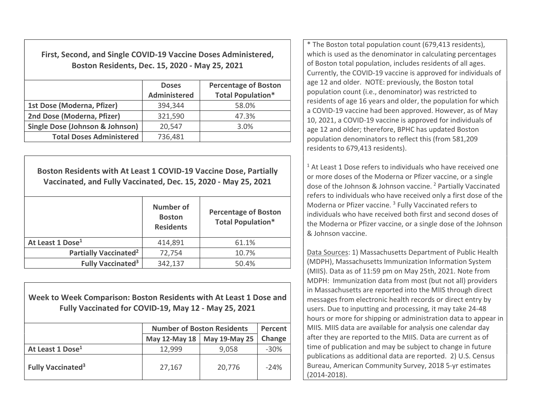First, Second, and Single COVID-19 Vaccine Doses Administered, Boston Residents, Dec. 15, 2020 - May 25, 2021

|                                 | <b>Doses</b><br><b>Administered</b> | <b>Percentage of Boston</b><br><b>Total Population*</b> |
|---------------------------------|-------------------------------------|---------------------------------------------------------|
| 1st Dose (Moderna, Pfizer)      | 394,344                             | 58.0%                                                   |
| 2nd Dose (Moderna, Pfizer)      | 321,590                             | 47.3%                                                   |
| Single Dose (Johnson & Johnson) | 20,547                              | 3.0%                                                    |
| <b>Total Doses Administered</b> | 736,481                             |                                                         |

Boston Residents with At Least 1 COVID-19 Vaccine Dose, Partially Vaccinated, and Fully Vaccinated, Dec. 15, 2020 - May 25, 2021 Number of Boston Residents Percentage of Boston Total Population\* At Least 1 Dose<sup>1</sup> **414,891** 61.1% Partially Vaccinated<sup>2</sup>  $\vert$  72,754  $\vert$  10.7% Fully Vaccinated<sup>3</sup>  $\vert$  342,137  $\vert$  50.4%

Week to Week Comparison: Boston Residents with At Least 1 Dose and Fully Vaccinated for COVID-19, May 12 - May 25, 2021

|                                     | <b>Number of Boston Residents</b> | Percent       |         |
|-------------------------------------|-----------------------------------|---------------|---------|
|                                     | May 12-May 18                     | May 19-May 25 | Change  |
| At Least 1 Dose <sup>1</sup>        | 12,999                            | 9,058         | $-30\%$ |
| <b>Fully Vaccinated<sup>3</sup></b> | 27,167                            | 20,776        | $-24%$  |

\* The Boston total population count (679,413 residents), which is used as the denominator in calculating percentages of Boston total population, includes residents of all ages. Currently, the COVID-19 vaccine is approved for individuals of age 12 and older. NOTE: previously, the Boston total population count (i.e., denominator) was restricted to residents of age 16 years and older, the population for which a COVID-19 vaccine had been approved. However, as of May 10, 2021, a COVID-19 vaccine is approved for individuals of age 12 and older; therefore, BPHC has updated Boston population denominators to reflect this (from 581,209 residents to 679,413 residents).

 $1$  At Least 1 Dose refers to individuals who have received one or more doses of the Moderna or Pfizer vaccine, or a single dose of the Johnson & Johnson vaccine. <sup>2</sup> Partially Vaccinated refers to individuals who have received only a first dose of the Moderna or Pfizer vaccine.<sup>3</sup> Fully Vaccinated refers to individuals who have received both first and second doses of the Moderna or Pfizer vaccine, or a single dose of the Johnson & Johnson vaccine.

Data Sources: 1) Massachusetts Department of Public Health (MDPH), Massachusetts Immunization Information System (MIIS). Data as of 11:59 pm on May 25th, 2021. Note from MDPH: Immunization data from most (but not all) providers in Massachusetts are reported into the MIIS through direct messages from electronic health records or direct entry by users. Due to inputting and processing, it may take 24-48 hours or more for shipping or administration data to appear in MIIS. MIIS data are available for analysis one calendar day after they are reported to the MIIS. Data are current as of time of publication and may be subject to change in future publications as additional data are reported. 2) U.S. Census Bureau, American Community Survey, 2018 5-yr estimates (2014-2018).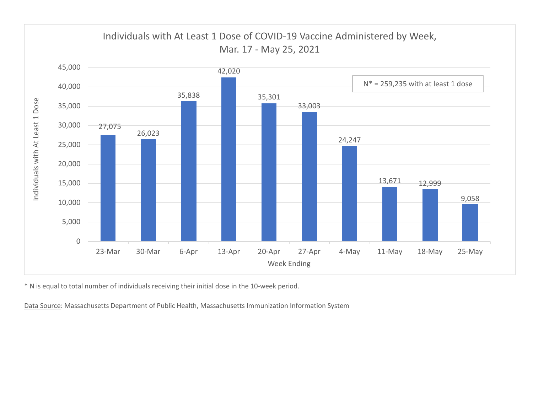

\* N is equal to total number of individuals receiving their initial dose in the 10-week period.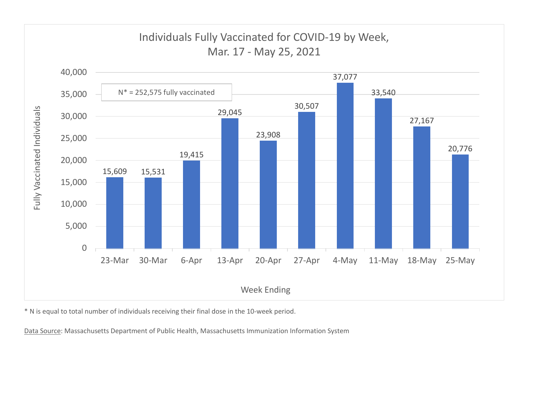

\* N is equal to total number of individuals receiving their final dose in the 10-week period.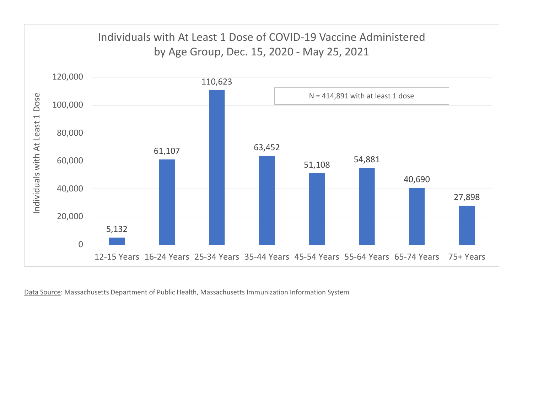

Data Source: Massachusetts Department of Public Health, Massachusetts Immunization Information System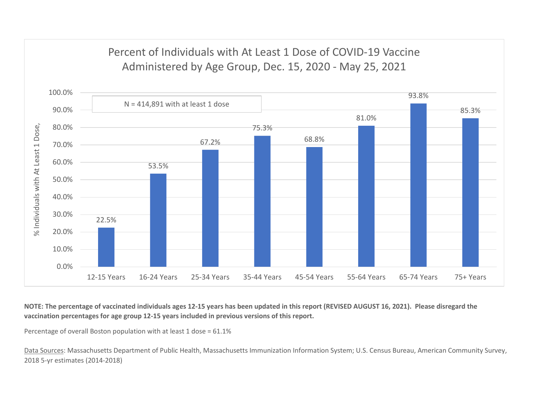

NOTE: The percentage of vaccinated individuals ages 12-15 years has been updated in this report (REVISED AUGUST 16, 2021). Please disregard the vaccination percentages for age group 12-15 years included in previous versions of this report.

Percentage of overall Boston population with at least 1 dose = 61.1%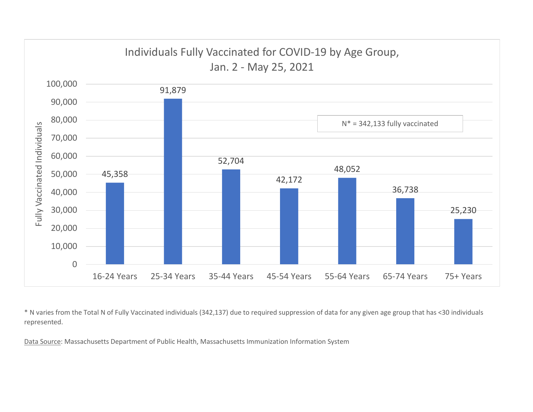

\* N varies from the Total N of Fully Vaccinated individuals (342,137) due to required suppression of data for any given age group that has <30 individuals represented.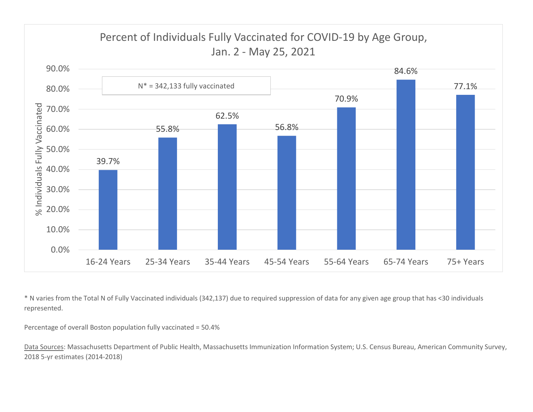

\* N varies from the Total N of Fully Vaccinated individuals (342,137) due to required suppression of data for any given age group that has <30 individuals represented.

Percentage of overall Boston population fully vaccinated = 50.4%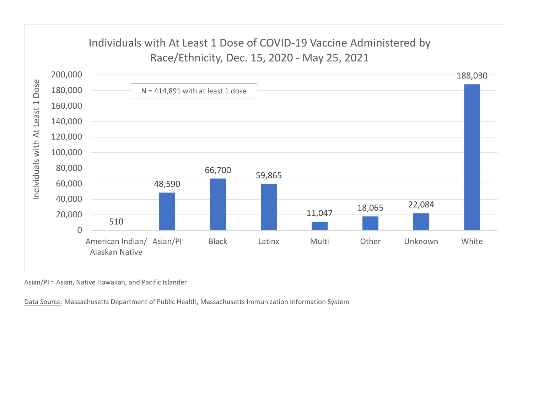

Asian/PI = Asian, Native Hawaiian, and Pacific Islander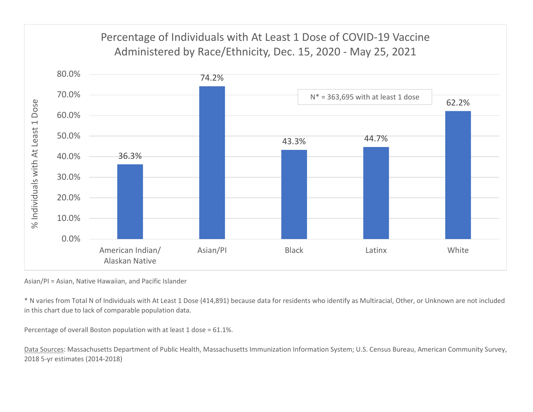

Asian/PI = Asian, Native Hawaiian, and Pacific Islander

\* N varies from Total N of Individuals with At Least 1 Dose (414,891) because data for residents who identify as Multiracial, Other, or Unknown are not included in this chart due to lack of comparable population data.

Percentage of overall Boston population with at least 1 dose = 61.1%.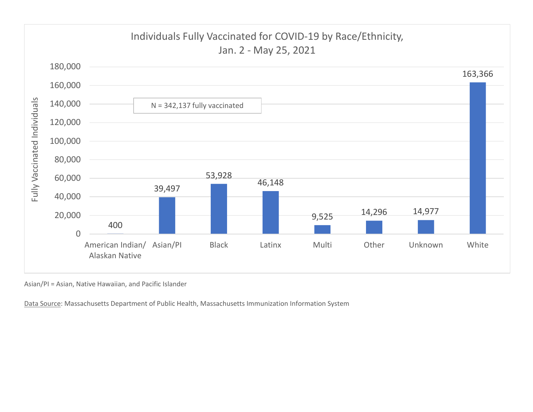

Asian/PI = Asian, Native Hawaiian, and Pacific Islander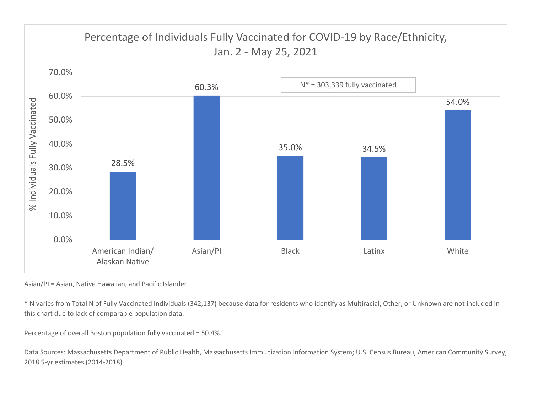

Asian/PI = Asian, Native Hawaiian, and Pacific Islander

\* N varies from Total N of Fully Vaccinated Individuals (342,137) because data for residents who identify as Multiracial, Other, or Unknown are not included in this chart due to lack of comparable population data.

Percentage of overall Boston population fully vaccinated = 50.4%.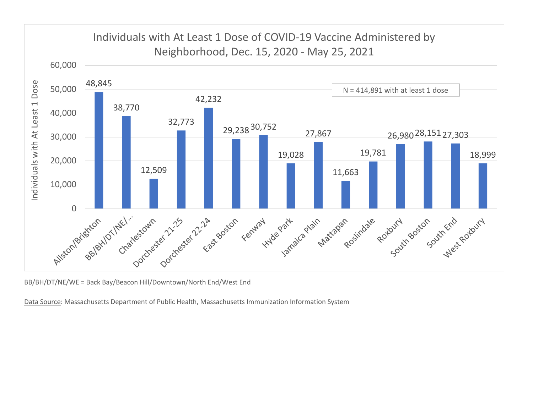

BB/BH/DT/NE/WE = Back Bay/Beacon Hill/Downtown/North End/West End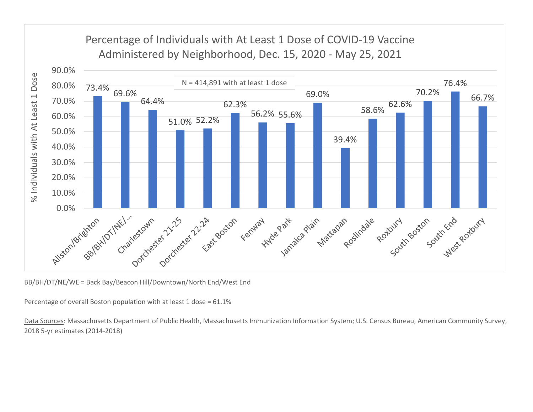

BB/BH/DT/NE/WE = Back Bay/Beacon Hill/Downtown/North End/West End

Percentage of overall Boston population with at least 1 dose = 61.1%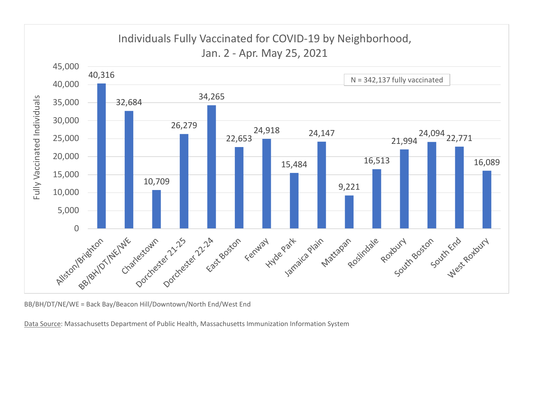

BB/BH/DT/NE/WE = Back Bay/Beacon Hill/Downtown/North End/West End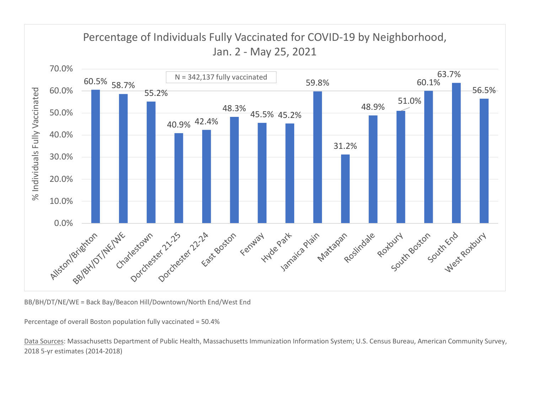

BB/BH/DT/NE/WE = Back Bay/Beacon Hill/Downtown/North End/West End

Percentage of overall Boston population fully vaccinated = 50.4%